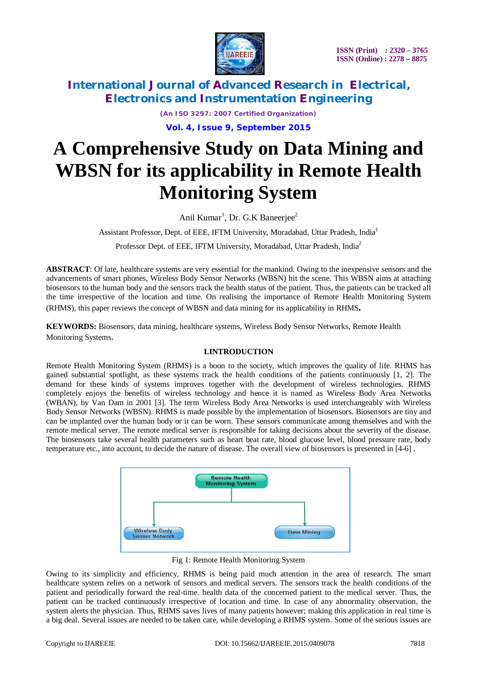

> *(An ISO 3297: 2007 Certified Organization)* **Vol. 4, Issue 9, September 2015**

# **A Comprehensive Study on Data Mining and WBSN for its applicability in Remote Health Monitoring System**

Anil Kumar<sup>1</sup>, Dr. G.K Baneerjee<sup>2</sup>

Assistant Professor, Dept. of EEE, IFTM University, Moradabad, Uttar Pradesh, India<sup>1</sup>

Professor Dept. of EEE, IFTM University, Moradabad, Uttar Pradesh, India<sup>2</sup>

**ABSTRACT**: Of late, healthcare systems are very essential for the mankind. Owing to the inexpensive sensors and the advancements of smart phones, Wireless Body Sensor Networks (WBSN) hit the scene. This WBSN aims at attaching biosensors to the human body and the sensors track the health status of the patient. Thus, the patients can be tracked all the time irrespective of the location and time. On realising the importance of Remote Health Monitoring System (RHMS), this paper reviews the concept of WBSN and data mining for its applicability in RHMS**.**

**KEYWORDS:** Biosensors, data mining, healthcare systems, Wireless Body Sensor Networks, Remote Health Monitoring Systems.

## **I.INTRODUCTION**

Remote Health Monitoring System (RHMS) is a boon to the society, which improves the quality of life. RHMS has gained substantial spotlight, as these systems track the health conditions of the patients continuously [1, 2]. The demand for these kinds of systems improves together with the development of wireless technologies. RHMS completely enjoys the benefits of wireless technology and hence it is named as Wireless Body Area Networks (WBAN), by Van Dam in 2001 [3]. The term Wireless Body Area Networks is used interchangeably with Wireless Body Sensor Networks (WBSN). RHMS is made possible by the implementation of biosensors. Biosensors are tiny and can be implanted over the human body or it can be worn. These sensors communicate among themselves and with the remote medical server. The remote medical server is responsible for taking decisions about the severity of the disease. The biosensors take several health parameters such as heart beat rate, blood glucose level, blood pressure rate, body temperature etc., into account, to decide the nature of disease. The overall view of biosensors is presented in [4-6] .



Fig 1: Remote Health Monitoring System

Owing to its simplicity and efficiency, RHMS is being paid much attention in the area of research. The smart healthcare system relies on a network of sensors and medical servers. The sensors track the health conditions of the patient and periodically forward the real-time. health data of the concerned patient to the medical server. Thus, the patient can be tracked continuously irrespective of location and time. In case of any abnormality observation, the system alerts the physician. Thus, RHMS saves lives of many patients however; making this application in real time is a big deal. Several issues are needed to be taken care, while developing a RHMS system. Some of the serious issues are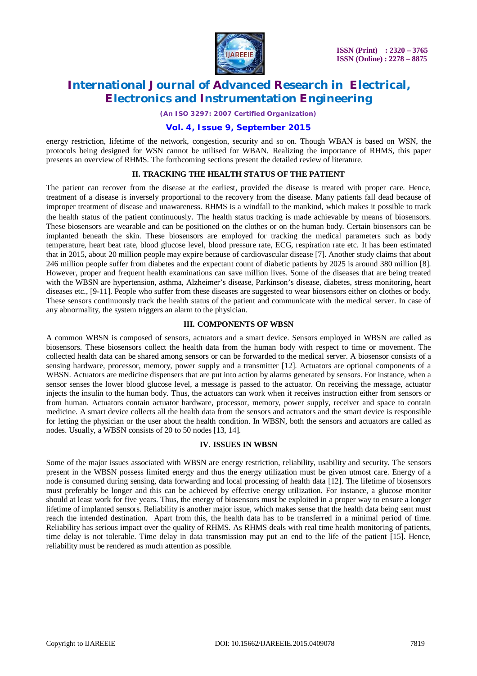

*(An ISO 3297: 2007 Certified Organization)*

## **Vol. 4, Issue 9, September 2015**

energy restriction, lifetime of the network, congestion, security and so on. Though WBAN is based on WSN, the protocols being designed for WSN cannot be utilised for WBAN. Realizing the importance of RHMS, this paper presents an overview of RHMS. The forthcoming sections present the detailed review of literature.

#### **II. TRACKING THE HEALTH STATUS OF THE PATIENT**

The patient can recover from the disease at the earliest, provided the disease is treated with proper care. Hence, treatment of a disease is inversely proportional to the recovery from the disease. Many patients fall dead because of improper treatment of disease and unawareness. RHMS is a windfall to the mankind, which makes it possible to track the health status of the patient continuously. The health status tracking is made achievable by means of biosensors. These biosensors are wearable and can be positioned on the clothes or on the human body. Certain biosensors can be implanted beneath the skin. These biosensors are employed for tracking the medical parameters such as body temperature, heart beat rate, blood glucose level, blood pressure rate, ECG, respiration rate etc. It has been estimated that in 2015, about 20 million people may expire because of cardiovascular disease [7]. Another study claims that about 246 million people suffer from diabetes and the expectant count of diabetic patients by 2025 is around 380 million [8]. However, proper and frequent health examinations can save million lives. Some of the diseases that are being treated with the WBSN are hypertension, asthma, Alzheimer's disease, Parkinson's disease, diabetes, stress monitoring, heart diseases etc., [9-11]. People who suffer from these diseases are suggested to wear biosensors either on clothes or body. These sensors continuously track the health status of the patient and communicate with the medical server. In case of any abnormality, the system triggers an alarm to the physician.

### **III. COMPONENTS OF WBSN**

A common WBSN is composed of sensors, actuators and a smart device. Sensors employed in WBSN are called as biosensors. These biosensors collect the health data from the human body with respect to time or movement. The collected health data can be shared among sensors or can be forwarded to the medical server. A biosensor consists of a sensing hardware, processor, memory, power supply and a transmitter [12]. Actuators are optional components of a WBSN. Actuators are medicine dispensers that are put into action by alarms generated by sensors. For instance, when a sensor senses the lower blood glucose level, a message is passed to the actuator. On receiving the message, actuator injects the insulin to the human body. Thus, the actuators can work when it receives instruction either from sensors or from human. Actuators contain actuator hardware, processor, memory, power supply, receiver and space to contain medicine. A smart device collects all the health data from the sensors and actuators and the smart device is responsible for letting the physician or the user about the health condition. In WBSN, both the sensors and actuators are called as nodes. Usually, a WBSN consists of 20 to 50 nodes [13, 14].

#### **IV. ISSUES IN WBSN**

Some of the major issues associated with WBSN are energy restriction, reliability, usability and security. The sensors present in the WBSN possess limited energy and thus the energy utilization must be given utmost care. Energy of a node is consumed during sensing, data forwarding and local processing of health data [12]. The lifetime of biosensors must preferably be longer and this can be achieved by effective energy utilization. For instance, a glucose monitor should at least work for five years. Thus, the energy of biosensors must be exploited in a proper way to ensure a longer lifetime of implanted sensors. Reliability is another major issue, which makes sense that the health data being sent must reach the intended destination. Apart from this, the health data has to be transferred in a minimal period of time. Reliability has serious impact over the quality of RHMS. As RHMS deals with real time health monitoring of patients, time delay is not tolerable. Time delay in data transmission may put an end to the life of the patient [15]. Hence, reliability must be rendered as much attention as possible.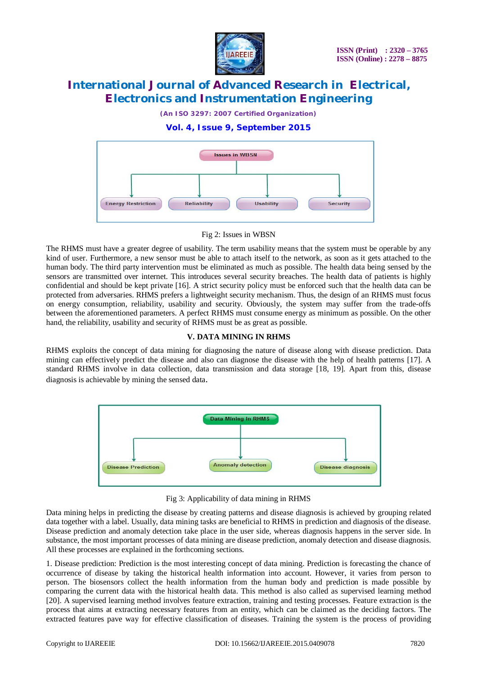

*(An ISO 3297: 2007 Certified Organization)*

## **Vol. 4, Issue 9, September 2015**



Fig 2: Issues in WBSN

The RHMS must have a greater degree of usability. The term usability means that the system must be operable by any kind of user. Furthermore, a new sensor must be able to attach itself to the network, as soon as it gets attached to the human body. The third party intervention must be eliminated as much as possible. The health data being sensed by the sensors are transmitted over internet. This introduces several security breaches. The health data of patients is highly confidential and should be kept private [16]. A strict security policy must be enforced such that the health data can be protected from adversaries. RHMS prefers a lightweight security mechanism. Thus, the design of an RHMS must focus on energy consumption, reliability, usability and security. Obviously, the system may suffer from the trade-offs between the aforementioned parameters. A perfect RHMS must consume energy as minimum as possible. On the other hand, the reliability, usability and security of RHMS must be as great as possible.

## **V. DATA MINING IN RHMS**

RHMS exploits the concept of data mining for diagnosing the nature of disease along with disease prediction. Data mining can effectively predict the disease and also can diagnose the disease with the help of health patterns [17]. A standard RHMS involve in data collection, data transmission and data storage [18, 19]. Apart from this, disease diagnosis is achievable by mining the sensed data.



Fig 3: Applicability of data mining in RHMS

Data mining helps in predicting the disease by creating patterns and disease diagnosis is achieved by grouping related data together with a label. Usually, data mining tasks are beneficial to RHMS in prediction and diagnosis of the disease. Disease prediction and anomaly detection take place in the user side, whereas diagnosis happens in the server side. In substance, the most important processes of data mining are disease prediction, anomaly detection and disease diagnosis. All these processes are explained in the forthcoming sections.

1. Disease prediction: Prediction is the most interesting concept of data mining. Prediction is forecasting the chance of occurrence of disease by taking the historical health information into account. However, it varies from person to person. The biosensors collect the health information from the human body and prediction is made possible by comparing the current data with the historical health data. This method is also called as supervised learning method [20]. A supervised learning method involves feature extraction, training and testing processes. Feature extraction is the process that aims at extracting necessary features from an entity, which can be claimed as the deciding factors. The extracted features pave way for effective classification of diseases. Training the system is the process of providing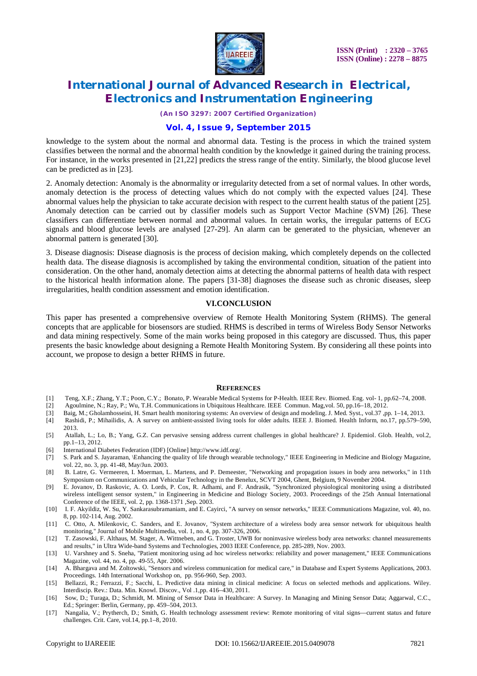

*(An ISO 3297: 2007 Certified Organization)*

### **Vol. 4, Issue 9, September 2015**

knowledge to the system about the normal and abnormal data. Testing is the process in which the trained system classifies between the normal and the abnormal health condition by the knowledge it gained during the training process. For instance, in the works presented in [21,22] predicts the stress range of the entity. Similarly, the blood glucose level can be predicted as in [23].

2. Anomaly detection: Anomaly is the abnormality or irregularity detected from a set of normal values. In other words, anomaly detection is the process of detecting values which do not comply with the expected values [24]. These abnormal values help the physician to take accurate decision with respect to the current health status of the patient [25]. Anomaly detection can be carried out by classifier models such as Support Vector Machine (SVM) [26]. These classifiers can differentiate between normal and abnormal values. In certain works, the irregular patterns of ECG signals and blood glucose levels are analysed [27-29]. An alarm can be generated to the physician, whenever an abnormal pattern is generated [30].

3. Disease diagnosis: Disease diagnosis is the process of decision making, which completely depends on the collected health data. The disease diagnosis is accomplished by taking the environmental condition, situation of the patient into consideration. On the other hand, anomaly detection aims at detecting the abnormal patterns of health data with respect to the historical health information alone. The papers [31-38] diagnoses the disease such as chronic diseases, sleep irregularities, health condition assessment and emotion identification.

#### **VI.CONCLUSION**

This paper has presented a comprehensive overview of Remote Health Monitoring System (RHMS). The general concepts that are applicable for biosensors are studied. RHMS is described in terms of Wireless Body Sensor Networks and data mining respectively. Some of the main works being proposed in this category are discussed. Thus, this paper presents the basic knowledge about designing a Remote Health Monitoring System. By considering all these points into account, we propose to design a better RHMS in future.

#### **REFERENCES**

- [1] Teng, X.F.; Zhang, Y.T.; Poon, C.Y.; Bonato, P. Wearable Medical Systems for P-Health. IEEE Rev. Biomed. Eng. vol- 1, pp.62–74, 2008.
- [2] Agoulmine, N.; Ray, P.; Wu, T.H. Communications in Ubiquitous Healthcare. IEEE Commun. Mag,vol. 50, pp.16–18, 2012.
- [3] Baig, M.; Gholamhosseini, H. Smart health monitoring systems: An overview of design and modeling. J. Med. Syst., vol.37 ,pp. 1–14, 2013.
- [4] Rashidi, P.; Mihailidis, A. A survey on ambient-assisted living tools for older adults. IEEE J. Biomed. Health Inform, no.17, pp.579–590, 2013.
- [5] Atallah, L.; Lo, B.; Yang, G.Z. Can pervasive sensing address current challenges in global healthcare? J. Epidemiol. Glob. Health, vol.2, pp.1–13, 2012.
- [6] International Diabetes Federation (IDF) [Online] http://www.idf.org/.
- [7] S. Park and S. Jayaraman, \Enhancing the quality of life through wearable technology," IEEE Engineering in Medicine and Biology Magazine, vol. 22, no. 3, pp. 41-48, May/Jun. 2003.
- [8] B. Latre, G. Vermeeren, I. Moerman, L. Martens, and P. Demeester, "Networking and propagation issues in body area networks," in 11th Symposium on Communications and Vehicular Technology in the Benelux, SCVT 2004, Ghent, Belgium, 9 November 2004.
- [9] E. Jovanov, D. Raskovic, A. O. Lords, P. Cox, R. Adhami, and F. Andrasik, "Synchronized physiological monitoring using a distributed wireless intelligent sensor system," in Engineering in Medicine and Biology Society, 2003. Proceedings of the 25th Annual International Conference of the IEEE, vol. 2, pp. 1368-1371 ,Sep. 2003.
- [10] I. F. Akyildiz, W. Su, Y. Sankarasubramaniam, and E. Cayirci, "A survey on sensor networks," IEEE Communications Magazine, vol. 40, no. 8, pp. 102-114, Aug. 2002.
- [11] C. Otto, A. Milenkovic, C. Sanders, and E. Jovanov, "System architecture of a wireless body area sensor network for ubiquitous health monitoring," Journal of Mobile Multimedia, vol. 1, no. 4, pp. 307-326, 2006.
- [12] T. Zasowski, F. Althaus, M. Stager, A. Wittneben, and G. Troster, UWB for noninvasive wireless body area networks: channel measurements and results," in Ultra Wide-band Systems and Technologies, 2003 IEEE Conference, pp. 285-289, Nov. 2003.
- [13] U. Varshney and S. Sneha, "Patient monitoring using ad hoc wireless networks: reliability and power management," IEEE Communications Magazine, vol. 44, no. 4, pp. 49-55, Apr. 2006.
- [14] A. Bhargava and M. Zoltowski, "Sensors and wireless communication for medical care," in Database and Expert Systems Applications, 2003. Proceedings. 14th International Workshop on, pp. 956-960, Sep. 2003.
- [15] Bellazzi, R.; Ferrazzi, F.; Sacchi, L. Predictive data mining in clinical medicine: A focus on selected methods and applications. Wiley. Interdiscip. Rev.: Data. Min. Knowl. Discov., Vol .1,pp. 416–430, 2011.
- [16] Sow, D.; Turaga, D.; Schmidt, M. Mining of Sensor Data in Healthcare: A Survey. In Managing and Mining Sensor Data; Aggarwal, C.C., Ed.; Springer: Berlin, Germany, pp. 459–504, 2013.
- [17] Nangalia, V.; Prytherch, D.; Smith, G. Health technology assessment review: Remote monitoring of vital signs—current status and future challenges. Crit. Care, vol.14, pp.1–8, 2010.